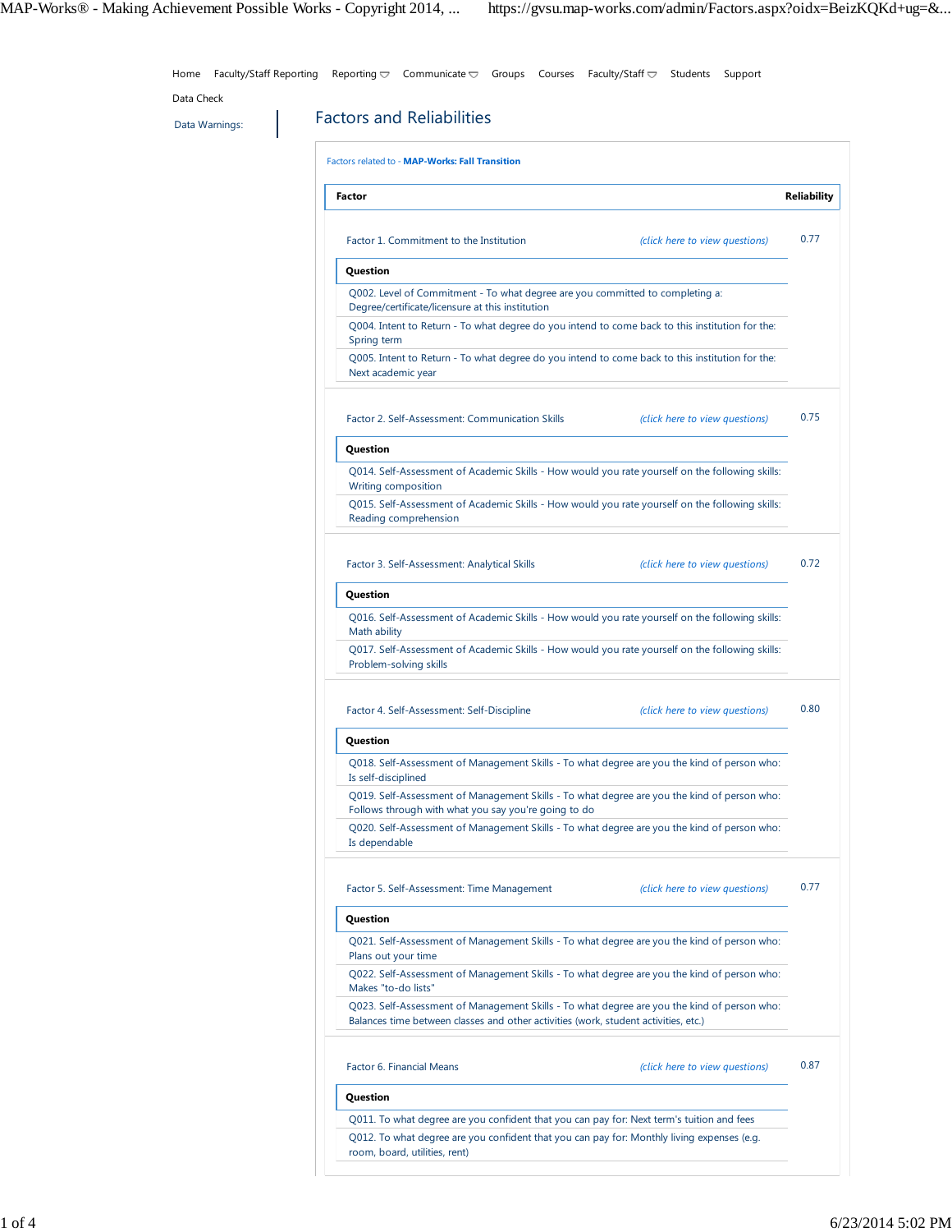Data Warnings: **Factors and Reliabilities** Factors related to - **MAP-Works: Fall Transition Factor Reliability** Factor 1. Commitment to the Institution *(click here to view questions)* **Question** Q002. Level of Commitment - To what degree are you committed to completing a: Degree/certificate/licensure at this institution Q004. Intent to Return - To what degree do you intend to come back to this institution for the: Spring term Q005. Intent to Return - To what degree do you intend to come back to this institution for the: Next academic year 0.77 Factor 2. Self-Assessment: Communication Skills *(click here to view questions)* **Question** Q014. Self-Assessment of Academic Skills - How would you rate yourself on the following skills: Writing composition Q015. Self-Assessment of Academic Skills - How would you rate yourself on the following skills: Reading comprehension 0.75 Factor 3. Self-Assessment: Analytical Skills *(click here to view questions)* **Question** Q016. Self-Assessment of Academic Skills - How would you rate yourself on the following skills: Math ability Q017. Self-Assessment of Academic Skills - How would you rate yourself on the following skills: Problem-solving skills 0.72 Factor 4. Self-Assessment: Self-Discipline *(click here to view questions)* **Question** Q018. Self-Assessment of Management Skills - To what degree are you the kind of person who: Is self-disciplined Q019. Self-Assessment of Management Skills - To what degree are you the kind of person who: Follows through with what you say you're going to do Q020. Self-Assessment of Management Skills - To what degree are you the kind of person who: Is dependable 0.80 Factor 5. Self-Assessment: Time Management *(click here to view questions)* **Question** Q021. Self-Assessment of Management Skills - To what degree are you the kind of person who: Plans out your time Q022. Self-Assessment of Management Skills - To what degree are you the kind of person who: Makes "to-do lists" Q023. Self-Assessment of Management Skills - To what degree are you the kind of person who: Balances time between classes and other activities (work, student activities, etc.) 0.77 Factor 6. Financial Means *(click here to view questions)* **Question** Q011. To what degree are you confident that you can pay for: Next term's tuition and fees Q012. To what degree are you confident that you can pay for: Monthly living expenses (e.g. room, board, utilities, rent) 0.87 Home Faculty/Staff Reporting Reporting  $\nabla$  Communicate  $\nabla$  Groups Courses Faculty/Staff  $\nabla$  Students Support Data Check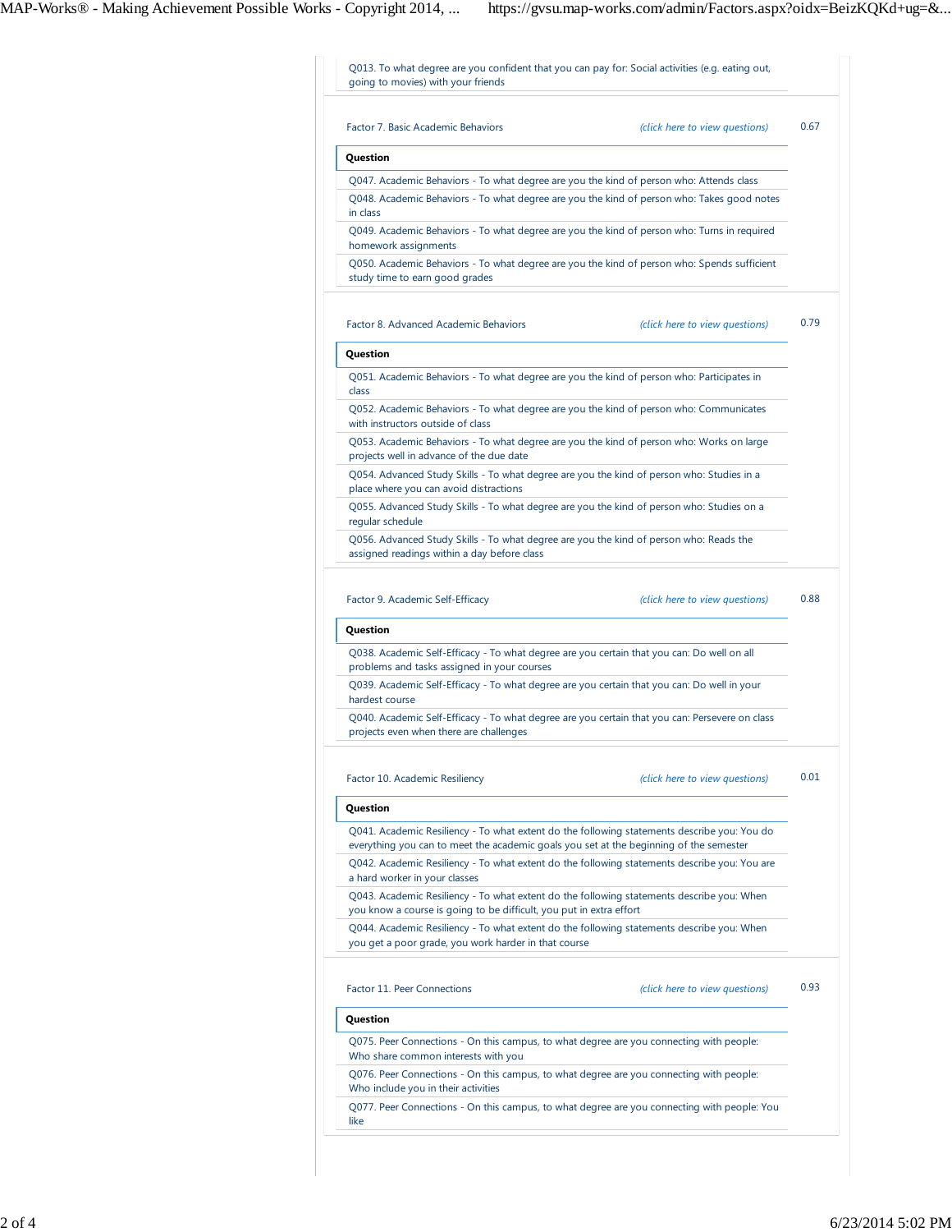| Factor 7. Basic Academic Behaviors<br>(click here to view questions)<br>Q047. Academic Behaviors - To what degree are you the kind of person who: Attends class<br>Q048. Academic Behaviors - To what degree are you the kind of person who: Takes good notes<br>in class<br>Q049. Academic Behaviors - To what degree are you the kind of person who: Turns in required<br>Q050. Academic Behaviors - To what degree are you the kind of person who: Spends sufficient<br>study time to earn good grades<br>Factor 8. Advanced Academic Behaviors<br>(click here to view questions)<br>Question<br>Q051. Academic Behaviors - To what degree are you the kind of person who: Participates in<br>class<br>Q052. Academic Behaviors - To what degree are you the kind of person who: Communicates<br>with instructors outside of class<br>Q053. Academic Behaviors - To what degree are you the kind of person who: Works on large<br>projects well in advance of the due date<br>Q054. Advanced Study Skills - To what degree are you the kind of person who: Studies in a<br>place where you can avoid distractions<br>Q055. Advanced Study Skills - To what degree are you the kind of person who: Studies on a<br>regular schedule<br>Q056. Advanced Study Skills - To what degree are you the kind of person who: Reads the<br>assigned readings within a day before class<br>(click here to view questions)<br>Q038. Academic Self-Efficacy - To what degree are you certain that you can: Do well on all<br>Q039. Academic Self-Efficacy - To what degree are you certain that you can: Do well in your<br>Q040. Academic Self-Efficacy - To what degree are you certain that you can: Persevere on class<br>(click here to view questions)<br>Q041. Academic Resiliency - To what extent do the following statements describe you: You do<br>everything you can to meet the academic goals you set at the beginning of the semester<br>Q042. Academic Resiliency - To what extent do the following statements describe you: You are<br>Q043. Academic Resiliency - To what extent do the following statements describe you: When<br>you know a course is going to be difficult, you put in extra effort<br>Q044. Academic Resiliency - To what extent do the following statements describe you: When<br>you get a poor grade, you work harder in that course<br>(click here to view questions)<br>Q075. Peer Connections - On this campus, to what degree are you connecting with people:<br>Who share common interests with you |                                                                                                                                                          |  |
|-----------------------------------------------------------------------------------------------------------------------------------------------------------------------------------------------------------------------------------------------------------------------------------------------------------------------------------------------------------------------------------------------------------------------------------------------------------------------------------------------------------------------------------------------------------------------------------------------------------------------------------------------------------------------------------------------------------------------------------------------------------------------------------------------------------------------------------------------------------------------------------------------------------------------------------------------------------------------------------------------------------------------------------------------------------------------------------------------------------------------------------------------------------------------------------------------------------------------------------------------------------------------------------------------------------------------------------------------------------------------------------------------------------------------------------------------------------------------------------------------------------------------------------------------------------------------------------------------------------------------------------------------------------------------------------------------------------------------------------------------------------------------------------------------------------------------------------------------------------------------------------------------------------------------------------------------------------------------------------------------------------------------------------------------------------------------------------------------------------------------------------------------------------------------------------------------------------------------------------------------------------------------------------------------------------------------------------------------------------------------------------------------------------------------------------------------------------------------------------------------------------------------------------------|----------------------------------------------------------------------------------------------------------------------------------------------------------|--|
|                                                                                                                                                                                                                                                                                                                                                                                                                                                                                                                                                                                                                                                                                                                                                                                                                                                                                                                                                                                                                                                                                                                                                                                                                                                                                                                                                                                                                                                                                                                                                                                                                                                                                                                                                                                                                                                                                                                                                                                                                                                                                                                                                                                                                                                                                                                                                                                                                                                                                                                                         |                                                                                                                                                          |  |
|                                                                                                                                                                                                                                                                                                                                                                                                                                                                                                                                                                                                                                                                                                                                                                                                                                                                                                                                                                                                                                                                                                                                                                                                                                                                                                                                                                                                                                                                                                                                                                                                                                                                                                                                                                                                                                                                                                                                                                                                                                                                                                                                                                                                                                                                                                                                                                                                                                                                                                                                         | Question                                                                                                                                                 |  |
|                                                                                                                                                                                                                                                                                                                                                                                                                                                                                                                                                                                                                                                                                                                                                                                                                                                                                                                                                                                                                                                                                                                                                                                                                                                                                                                                                                                                                                                                                                                                                                                                                                                                                                                                                                                                                                                                                                                                                                                                                                                                                                                                                                                                                                                                                                                                                                                                                                                                                                                                         |                                                                                                                                                          |  |
|                                                                                                                                                                                                                                                                                                                                                                                                                                                                                                                                                                                                                                                                                                                                                                                                                                                                                                                                                                                                                                                                                                                                                                                                                                                                                                                                                                                                                                                                                                                                                                                                                                                                                                                                                                                                                                                                                                                                                                                                                                                                                                                                                                                                                                                                                                                                                                                                                                                                                                                                         |                                                                                                                                                          |  |
|                                                                                                                                                                                                                                                                                                                                                                                                                                                                                                                                                                                                                                                                                                                                                                                                                                                                                                                                                                                                                                                                                                                                                                                                                                                                                                                                                                                                                                                                                                                                                                                                                                                                                                                                                                                                                                                                                                                                                                                                                                                                                                                                                                                                                                                                                                                                                                                                                                                                                                                                         | homework assignments                                                                                                                                     |  |
|                                                                                                                                                                                                                                                                                                                                                                                                                                                                                                                                                                                                                                                                                                                                                                                                                                                                                                                                                                                                                                                                                                                                                                                                                                                                                                                                                                                                                                                                                                                                                                                                                                                                                                                                                                                                                                                                                                                                                                                                                                                                                                                                                                                                                                                                                                                                                                                                                                                                                                                                         |                                                                                                                                                          |  |
|                                                                                                                                                                                                                                                                                                                                                                                                                                                                                                                                                                                                                                                                                                                                                                                                                                                                                                                                                                                                                                                                                                                                                                                                                                                                                                                                                                                                                                                                                                                                                                                                                                                                                                                                                                                                                                                                                                                                                                                                                                                                                                                                                                                                                                                                                                                                                                                                                                                                                                                                         |                                                                                                                                                          |  |
|                                                                                                                                                                                                                                                                                                                                                                                                                                                                                                                                                                                                                                                                                                                                                                                                                                                                                                                                                                                                                                                                                                                                                                                                                                                                                                                                                                                                                                                                                                                                                                                                                                                                                                                                                                                                                                                                                                                                                                                                                                                                                                                                                                                                                                                                                                                                                                                                                                                                                                                                         |                                                                                                                                                          |  |
|                                                                                                                                                                                                                                                                                                                                                                                                                                                                                                                                                                                                                                                                                                                                                                                                                                                                                                                                                                                                                                                                                                                                                                                                                                                                                                                                                                                                                                                                                                                                                                                                                                                                                                                                                                                                                                                                                                                                                                                                                                                                                                                                                                                                                                                                                                                                                                                                                                                                                                                                         |                                                                                                                                                          |  |
|                                                                                                                                                                                                                                                                                                                                                                                                                                                                                                                                                                                                                                                                                                                                                                                                                                                                                                                                                                                                                                                                                                                                                                                                                                                                                                                                                                                                                                                                                                                                                                                                                                                                                                                                                                                                                                                                                                                                                                                                                                                                                                                                                                                                                                                                                                                                                                                                                                                                                                                                         |                                                                                                                                                          |  |
|                                                                                                                                                                                                                                                                                                                                                                                                                                                                                                                                                                                                                                                                                                                                                                                                                                                                                                                                                                                                                                                                                                                                                                                                                                                                                                                                                                                                                                                                                                                                                                                                                                                                                                                                                                                                                                                                                                                                                                                                                                                                                                                                                                                                                                                                                                                                                                                                                                                                                                                                         |                                                                                                                                                          |  |
|                                                                                                                                                                                                                                                                                                                                                                                                                                                                                                                                                                                                                                                                                                                                                                                                                                                                                                                                                                                                                                                                                                                                                                                                                                                                                                                                                                                                                                                                                                                                                                                                                                                                                                                                                                                                                                                                                                                                                                                                                                                                                                                                                                                                                                                                                                                                                                                                                                                                                                                                         |                                                                                                                                                          |  |
|                                                                                                                                                                                                                                                                                                                                                                                                                                                                                                                                                                                                                                                                                                                                                                                                                                                                                                                                                                                                                                                                                                                                                                                                                                                                                                                                                                                                                                                                                                                                                                                                                                                                                                                                                                                                                                                                                                                                                                                                                                                                                                                                                                                                                                                                                                                                                                                                                                                                                                                                         |                                                                                                                                                          |  |
|                                                                                                                                                                                                                                                                                                                                                                                                                                                                                                                                                                                                                                                                                                                                                                                                                                                                                                                                                                                                                                                                                                                                                                                                                                                                                                                                                                                                                                                                                                                                                                                                                                                                                                                                                                                                                                                                                                                                                                                                                                                                                                                                                                                                                                                                                                                                                                                                                                                                                                                                         |                                                                                                                                                          |  |
|                                                                                                                                                                                                                                                                                                                                                                                                                                                                                                                                                                                                                                                                                                                                                                                                                                                                                                                                                                                                                                                                                                                                                                                                                                                                                                                                                                                                                                                                                                                                                                                                                                                                                                                                                                                                                                                                                                                                                                                                                                                                                                                                                                                                                                                                                                                                                                                                                                                                                                                                         |                                                                                                                                                          |  |
|                                                                                                                                                                                                                                                                                                                                                                                                                                                                                                                                                                                                                                                                                                                                                                                                                                                                                                                                                                                                                                                                                                                                                                                                                                                                                                                                                                                                                                                                                                                                                                                                                                                                                                                                                                                                                                                                                                                                                                                                                                                                                                                                                                                                                                                                                                                                                                                                                                                                                                                                         |                                                                                                                                                          |  |
|                                                                                                                                                                                                                                                                                                                                                                                                                                                                                                                                                                                                                                                                                                                                                                                                                                                                                                                                                                                                                                                                                                                                                                                                                                                                                                                                                                                                                                                                                                                                                                                                                                                                                                                                                                                                                                                                                                                                                                                                                                                                                                                                                                                                                                                                                                                                                                                                                                                                                                                                         |                                                                                                                                                          |  |
|                                                                                                                                                                                                                                                                                                                                                                                                                                                                                                                                                                                                                                                                                                                                                                                                                                                                                                                                                                                                                                                                                                                                                                                                                                                                                                                                                                                                                                                                                                                                                                                                                                                                                                                                                                                                                                                                                                                                                                                                                                                                                                                                                                                                                                                                                                                                                                                                                                                                                                                                         |                                                                                                                                                          |  |
|                                                                                                                                                                                                                                                                                                                                                                                                                                                                                                                                                                                                                                                                                                                                                                                                                                                                                                                                                                                                                                                                                                                                                                                                                                                                                                                                                                                                                                                                                                                                                                                                                                                                                                                                                                                                                                                                                                                                                                                                                                                                                                                                                                                                                                                                                                                                                                                                                                                                                                                                         |                                                                                                                                                          |  |
|                                                                                                                                                                                                                                                                                                                                                                                                                                                                                                                                                                                                                                                                                                                                                                                                                                                                                                                                                                                                                                                                                                                                                                                                                                                                                                                                                                                                                                                                                                                                                                                                                                                                                                                                                                                                                                                                                                                                                                                                                                                                                                                                                                                                                                                                                                                                                                                                                                                                                                                                         |                                                                                                                                                          |  |
|                                                                                                                                                                                                                                                                                                                                                                                                                                                                                                                                                                                                                                                                                                                                                                                                                                                                                                                                                                                                                                                                                                                                                                                                                                                                                                                                                                                                                                                                                                                                                                                                                                                                                                                                                                                                                                                                                                                                                                                                                                                                                                                                                                                                                                                                                                                                                                                                                                                                                                                                         |                                                                                                                                                          |  |
|                                                                                                                                                                                                                                                                                                                                                                                                                                                                                                                                                                                                                                                                                                                                                                                                                                                                                                                                                                                                                                                                                                                                                                                                                                                                                                                                                                                                                                                                                                                                                                                                                                                                                                                                                                                                                                                                                                                                                                                                                                                                                                                                                                                                                                                                                                                                                                                                                                                                                                                                         | Factor 9. Academic Self-Efficacy<br>Question<br>problems and tasks assigned in your courses<br>hardest course<br>projects even when there are challenges |  |
|                                                                                                                                                                                                                                                                                                                                                                                                                                                                                                                                                                                                                                                                                                                                                                                                                                                                                                                                                                                                                                                                                                                                                                                                                                                                                                                                                                                                                                                                                                                                                                                                                                                                                                                                                                                                                                                                                                                                                                                                                                                                                                                                                                                                                                                                                                                                                                                                                                                                                                                                         |                                                                                                                                                          |  |
|                                                                                                                                                                                                                                                                                                                                                                                                                                                                                                                                                                                                                                                                                                                                                                                                                                                                                                                                                                                                                                                                                                                                                                                                                                                                                                                                                                                                                                                                                                                                                                                                                                                                                                                                                                                                                                                                                                                                                                                                                                                                                                                                                                                                                                                                                                                                                                                                                                                                                                                                         |                                                                                                                                                          |  |
|                                                                                                                                                                                                                                                                                                                                                                                                                                                                                                                                                                                                                                                                                                                                                                                                                                                                                                                                                                                                                                                                                                                                                                                                                                                                                                                                                                                                                                                                                                                                                                                                                                                                                                                                                                                                                                                                                                                                                                                                                                                                                                                                                                                                                                                                                                                                                                                                                                                                                                                                         |                                                                                                                                                          |  |
|                                                                                                                                                                                                                                                                                                                                                                                                                                                                                                                                                                                                                                                                                                                                                                                                                                                                                                                                                                                                                                                                                                                                                                                                                                                                                                                                                                                                                                                                                                                                                                                                                                                                                                                                                                                                                                                                                                                                                                                                                                                                                                                                                                                                                                                                                                                                                                                                                                                                                                                                         |                                                                                                                                                          |  |
|                                                                                                                                                                                                                                                                                                                                                                                                                                                                                                                                                                                                                                                                                                                                                                                                                                                                                                                                                                                                                                                                                                                                                                                                                                                                                                                                                                                                                                                                                                                                                                                                                                                                                                                                                                                                                                                                                                                                                                                                                                                                                                                                                                                                                                                                                                                                                                                                                                                                                                                                         |                                                                                                                                                          |  |
|                                                                                                                                                                                                                                                                                                                                                                                                                                                                                                                                                                                                                                                                                                                                                                                                                                                                                                                                                                                                                                                                                                                                                                                                                                                                                                                                                                                                                                                                                                                                                                                                                                                                                                                                                                                                                                                                                                                                                                                                                                                                                                                                                                                                                                                                                                                                                                                                                                                                                                                                         |                                                                                                                                                          |  |
|                                                                                                                                                                                                                                                                                                                                                                                                                                                                                                                                                                                                                                                                                                                                                                                                                                                                                                                                                                                                                                                                                                                                                                                                                                                                                                                                                                                                                                                                                                                                                                                                                                                                                                                                                                                                                                                                                                                                                                                                                                                                                                                                                                                                                                                                                                                                                                                                                                                                                                                                         | Factor 10. Academic Resiliency<br>Question<br>a hard worker in your classes<br>Factor 11. Peer Connections                                               |  |
|                                                                                                                                                                                                                                                                                                                                                                                                                                                                                                                                                                                                                                                                                                                                                                                                                                                                                                                                                                                                                                                                                                                                                                                                                                                                                                                                                                                                                                                                                                                                                                                                                                                                                                                                                                                                                                                                                                                                                                                                                                                                                                                                                                                                                                                                                                                                                                                                                                                                                                                                         | Question                                                                                                                                                 |  |
| Q076. Peer Connections - On this campus, to what degree are you connecting with people:<br>Who include you in their activities                                                                                                                                                                                                                                                                                                                                                                                                                                                                                                                                                                                                                                                                                                                                                                                                                                                                                                                                                                                                                                                                                                                                                                                                                                                                                                                                                                                                                                                                                                                                                                                                                                                                                                                                                                                                                                                                                                                                                                                                                                                                                                                                                                                                                                                                                                                                                                                                          |                                                                                                                                                          |  |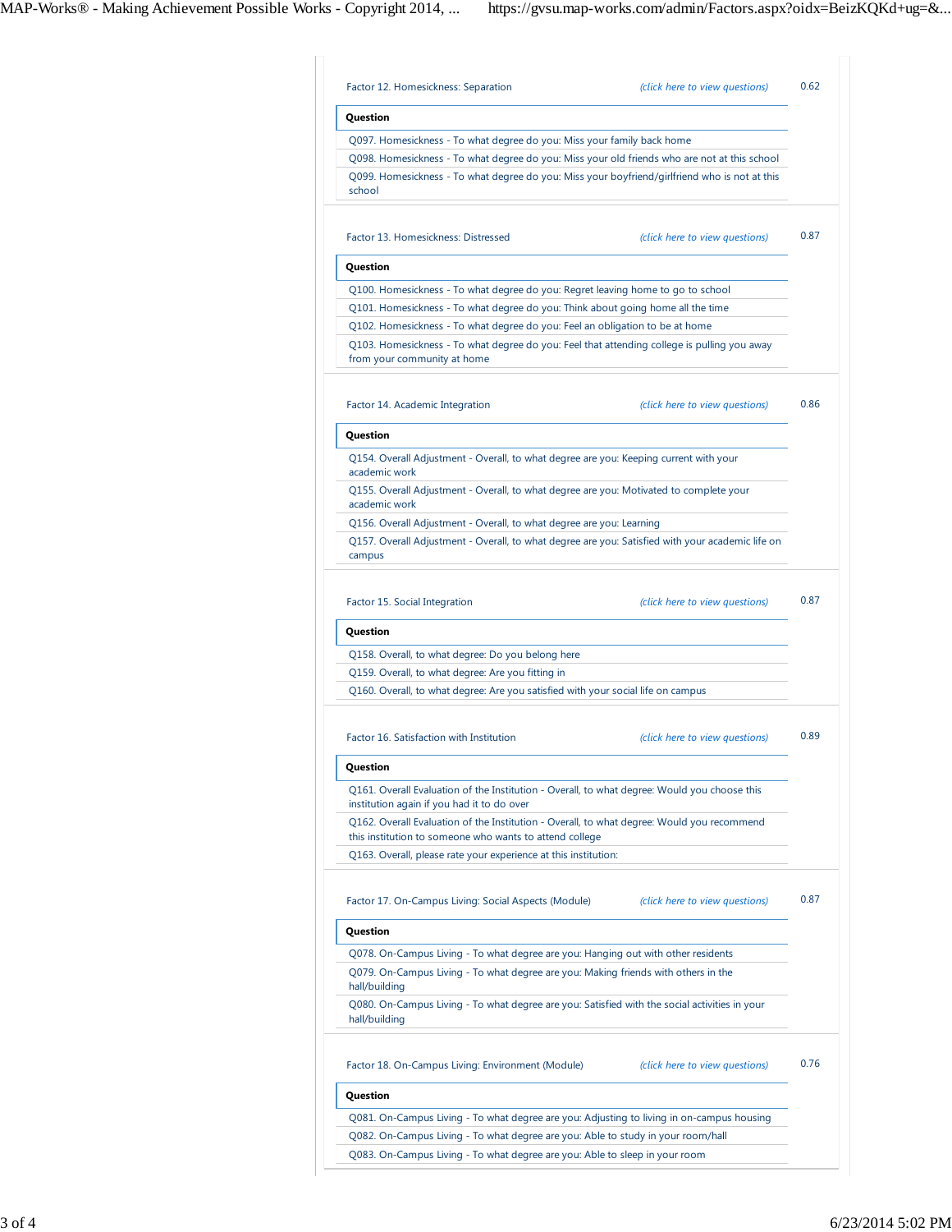| Question                                                                                                                                                                                                                 |                                |              |
|--------------------------------------------------------------------------------------------------------------------------------------------------------------------------------------------------------------------------|--------------------------------|--------------|
| Q097. Homesickness - To what degree do you: Miss your family back home<br>Q098. Homesickness - To what degree do you: Miss your old friends who are not at this school                                                   |                                |              |
| Q099. Homesickness - To what degree do you: Miss your boyfriend/girlfriend who is not at this<br>school                                                                                                                  |                                |              |
| Factor 13. Homesickness: Distressed                                                                                                                                                                                      | (click here to view questions) | 0.87         |
| Question                                                                                                                                                                                                                 |                                |              |
| Q100. Homesickness - To what degree do you: Regret leaving home to go to school                                                                                                                                          |                                |              |
| Q101. Homesickness - To what degree do you: Think about going home all the time                                                                                                                                          |                                |              |
| Q102. Homesickness - To what degree do you: Feel an obligation to be at home<br>Q103. Homesickness - To what degree do you: Feel that attending college is pulling you away<br>from your community at home               |                                |              |
| Factor 14. Academic Integration                                                                                                                                                                                          | (click here to view questions) | 0.86         |
| Question                                                                                                                                                                                                                 |                                |              |
| Q154. Overall Adjustment - Overall, to what degree are you: Keeping current with your<br>academic work                                                                                                                   |                                |              |
| Q155. Overall Adjustment - Overall, to what degree are you: Motivated to complete your<br>academic work                                                                                                                  |                                |              |
| Q156. Overall Adjustment - Overall, to what degree are you: Learning                                                                                                                                                     |                                |              |
| Q157. Overall Adjustment - Overall, to what degree are you: Satisfied with your academic life on<br>campus                                                                                                               |                                |              |
| Factor 15. Social Integration<br>Question                                                                                                                                                                                | (click here to view questions) |              |
| Q158. Overall, to what degree: Do you belong here<br>Q159. Overall, to what degree: Are you fitting in                                                                                                                   |                                |              |
| Q160. Overall, to what degree: Are you satisfied with your social life on campus<br>Factor 16. Satisfaction with Institution                                                                                             | (click here to view questions) |              |
|                                                                                                                                                                                                                          |                                |              |
| Question<br>Q161. Overall Evaluation of the Institution - Overall, to what degree: Would you choose this<br>institution again if you had it to do over                                                                   |                                |              |
| Q162. Overall Evaluation of the Institution - Overall, to what degree: Would you recommend<br>this institution to someone who wants to attend college<br>Q163. Overall, please rate your experience at this institution: |                                | 0.87<br>0.89 |
| Factor 17. On-Campus Living: Social Aspects (Module)                                                                                                                                                                     | (click here to view questions) | 0.87         |
| Question                                                                                                                                                                                                                 |                                |              |
| Q078. On-Campus Living - To what degree are you: Hanging out with other residents<br>Q079. On-Campus Living - To what degree are you: Making friends with others in the<br>hall/building                                 |                                |              |
| Q080. On-Campus Living - To what degree are you: Satisfied with the social activities in your<br>hall/building                                                                                                           |                                |              |
| Factor 18. On-Campus Living: Environment (Module)                                                                                                                                                                        | (click here to view questions) | 0.76         |
| Question                                                                                                                                                                                                                 |                                |              |